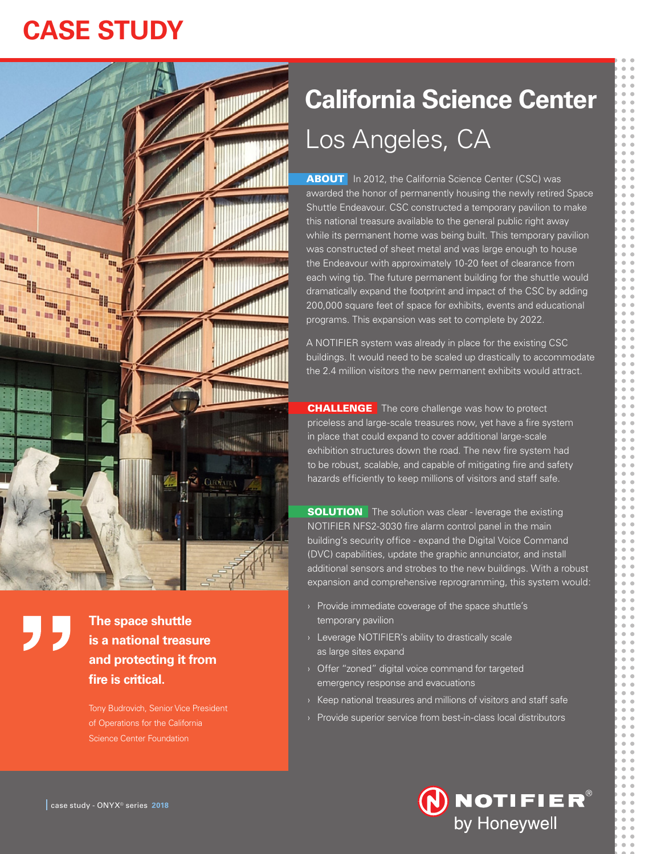# **CASE STUDY**



**The space shuttle is a national treasure and protecting it from fire is critical.**

Tony Budrovich, Senior Vice President of Operations for the California Science Center Foundation

# **California Science Center** Los Angeles, CA

**ABOUT** In 2012, the California Science Center (CSC) was awarded the honor of permanently housing the newly retired Space Shuttle Endeavour. CSC constructed a temporary pavilion to make this national treasure available to the general public right away while its permanent home was being built. This temporary pavilion was constructed of sheet metal and was large enough to house the Endeavour with approximately 10-20 feet of clearance from each wing tip. The future permanent building for the shuttle would dramatically expand the footprint and impact of the CSC by adding 200,000 square feet of space for exhibits, events and educational programs. This expansion was set to complete by 2022.

A NOTIFIER system was already in place for the existing CSC buildings. It would need to be scaled up drastically to accommodate the 2.4 million visitors the new permanent exhibits would attract.

**CHALLENGE** The core challenge was how to protect priceless and large-scale treasures now, yet have a fire system in place that could expand to cover additional large-scale exhibition structures down the road. The new fire system had to be robust, scalable, and capable of mitigating fire and safety hazards efficiently to keep millions of visitors and staff safe.

**SOLUTION** The solution was clear - leverage the existing NOTIFIER NFS2-3030 fire alarm control panel in the main building's security office - expand the Digital Voice Command (DVC) capabilities, update the graphic annunciator, and install additional sensors and strobes to the new buildings. With a robust expansion and comprehensive reprogramming, this system would:

- › Provide immediate coverage of the space shuttle's temporary pavilion
- › Leverage NOTIFIER's ability to drastically scale as large sites expand
- › Offer "zoned" digital voice command for targeted emergency response and evacuations
- $\rightarrow$  Keep national treasures and millions of visitors and staff safe
- › Provide superior service from best-in-class local distributors